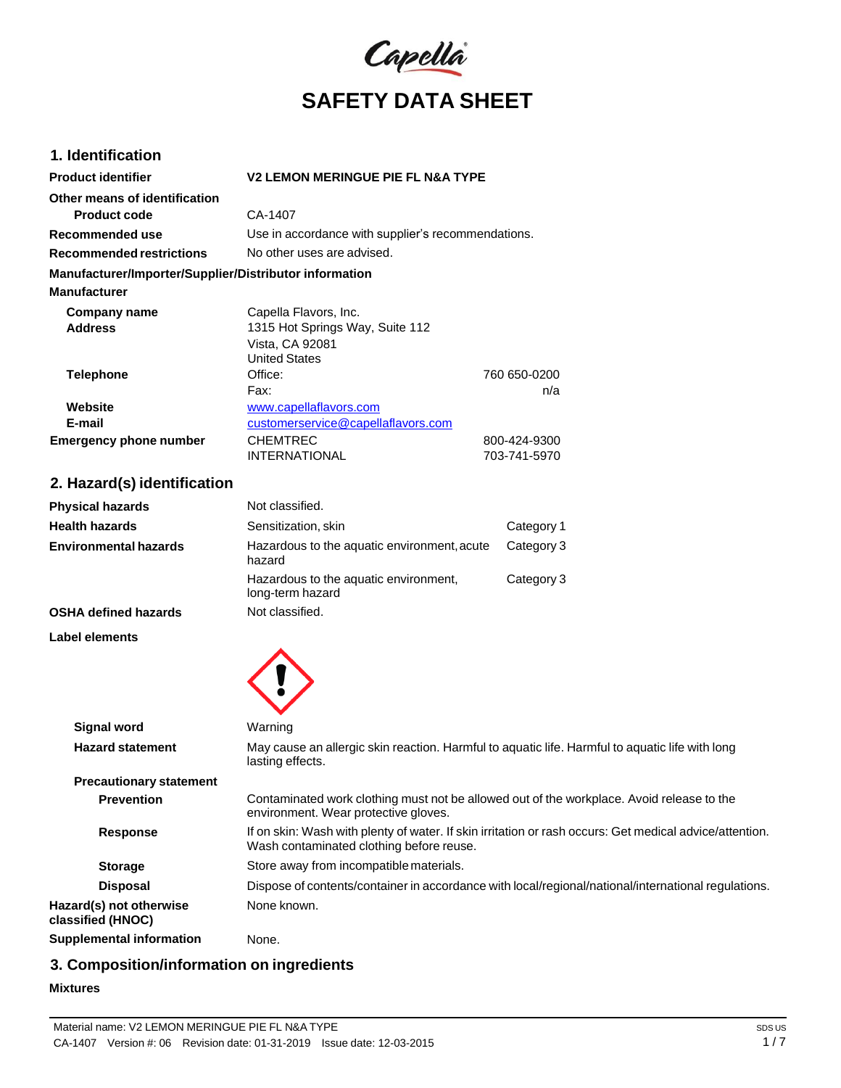

# **1. Identification**

| <b>Product identifier</b>                              | <b>V2 LEMON MERINGUE PIE FL N&amp;A TYPE</b>                                                                                                        |                              |
|--------------------------------------------------------|-----------------------------------------------------------------------------------------------------------------------------------------------------|------------------------------|
| Other means of identification                          |                                                                                                                                                     |                              |
| <b>Product code</b>                                    | CA-1407                                                                                                                                             |                              |
| Recommended use                                        | Use in accordance with supplier's recommendations.                                                                                                  |                              |
| <b>Recommended restrictions</b>                        | No other uses are advised.                                                                                                                          |                              |
| Manufacturer/Importer/Supplier/Distributor information |                                                                                                                                                     |                              |
| <b>Manufacturer</b>                                    |                                                                                                                                                     |                              |
| Company name<br>Address                                | Capella Flavors, Inc.<br>1315 Hot Springs Way, Suite 112<br>Vista, CA 92081<br><b>United States</b>                                                 |                              |
| <b>Telephone</b>                                       | Office:                                                                                                                                             | 760 650-0200                 |
|                                                        | Fax:                                                                                                                                                | n/a                          |
| Website                                                | www.capellaflavors.com                                                                                                                              |                              |
| E-mail                                                 | customerservice@capellaflavors.com                                                                                                                  |                              |
| <b>Emergency phone number</b>                          | <b>CHEMTREC</b><br><b>INTERNATIONAL</b>                                                                                                             | 800-424-9300<br>703-741-5970 |
| 2. Hazard(s) identification                            |                                                                                                                                                     |                              |
| <b>Physical hazards</b>                                | Not classified.                                                                                                                                     |                              |
| <b>Health hazards</b>                                  | Sensitization, skin                                                                                                                                 | Category 1                   |
| <b>Environmental hazards</b>                           | Hazardous to the aquatic environment, acute<br>hazard                                                                                               | Category 3                   |
|                                                        | Hazardous to the aquatic environment,<br>long-term hazard                                                                                           | Category 3                   |
| <b>OSHA defined hazards</b>                            | Not classified.                                                                                                                                     |                              |
| Label elements                                         |                                                                                                                                                     |                              |
|                                                        |                                                                                                                                                     |                              |
| <b>Signal word</b>                                     | Warning                                                                                                                                             |                              |
| <b>Hazard statement</b>                                | May cause an allergic skin reaction. Harmful to aquatic life. Harmful to aquatic life with long<br>lasting effects.                                 |                              |
| <b>Precautionary statement</b>                         |                                                                                                                                                     |                              |
| <b>Prevention</b>                                      | Contaminated work clothing must not be allowed out of the workplace. Avoid release to the<br>environment. Wear protective gloves.                   |                              |
| <b>Response</b>                                        | If on skin: Wash with plenty of water. If skin irritation or rash occurs: Get medical advice/attention.<br>Wash contaminated clothing before reuse. |                              |
| <b>Storage</b>                                         | Store away from incompatible materials.                                                                                                             |                              |
| <b>Disposal</b>                                        | Dispose of contents/container in accordance with local/regional/national/international regulations.                                                 |                              |
| Hazard(s) not otherwise<br>classified (HNOC)           | None known.                                                                                                                                         |                              |
| <b>Supplemental information</b>                        | None.                                                                                                                                               |                              |

# **3. Composition/information on ingredients**

### **Mixtures**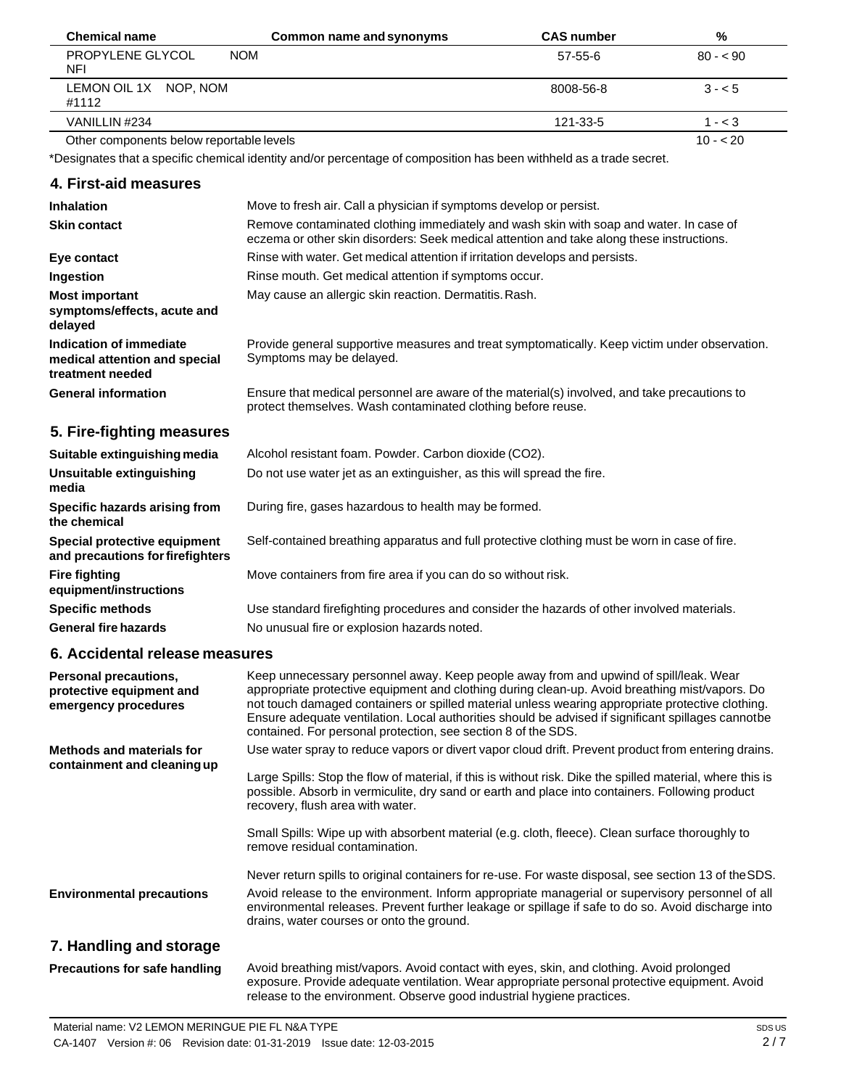| <b>Chemical name</b>                         | Common name and synonyms | <b>CAS number</b> | %         |
|----------------------------------------------|--------------------------|-------------------|-----------|
| PROPYLENE GLYCOL<br><b>NOM</b><br><b>NFI</b> |                          | 57-55-6           | $80 - 90$ |
| LEMON OIL 1X NOP, NOM<br>#1112               |                          | 8008-56-8         | $3 - 5$   |
| VANILLIN #234                                |                          | 121-33-5          | $1 - < 3$ |
| Other components below reportable levels     |                          |                   | $10 - 20$ |

\*Designates that a specific chemical identity and/or percentage of composition has been withheld as a trade secret.

## **4. First-aid measures**

| <b>Inhalation</b>                                                            | Move to fresh air. Call a physician if symptoms develop or persist.                                                                                                                 |
|------------------------------------------------------------------------------|-------------------------------------------------------------------------------------------------------------------------------------------------------------------------------------|
| <b>Skin contact</b>                                                          | Remove contaminated clothing immediately and wash skin with soap and water. In case of<br>eczema or other skin disorders: Seek medical attention and take along these instructions. |
| Eye contact                                                                  | Rinse with water. Get medical attention if irritation develops and persists.                                                                                                        |
| Ingestion                                                                    | Rinse mouth. Get medical attention if symptoms occur.                                                                                                                               |
| <b>Most important</b><br>symptoms/effects, acute and<br>delayed              | May cause an allergic skin reaction. Dermatitis. Rash.                                                                                                                              |
| Indication of immediate<br>medical attention and special<br>treatment needed | Provide general supportive measures and treat symptomatically. Keep victim under observation.<br>Symptoms may be delayed.                                                           |
| <b>General information</b>                                                   | Ensure that medical personnel are aware of the material(s) involved, and take precautions to<br>protect themselves. Wash contaminated clothing before reuse.                        |
| 5. Fire-fighting measures                                                    |                                                                                                                                                                                     |
| Suitable extinguishing media                                                 | Alcohol resistant foam. Powder. Carbon dioxide (CO2).                                                                                                                               |
| Unsuitable extinguishing<br>media                                            | Do not use water jet as an extinguisher, as this will spread the fire.                                                                                                              |
| Specific hazards arising from<br>the chemical                                | During fire, gases hazardous to health may be formed.                                                                                                                               |
| Special protective equipment<br>and precautions for firefighters             | Self-contained breathing apparatus and full protective clothing must be worn in case of fire.                                                                                       |
| <b>Fire fighting</b><br>equipment/instructions                               | Move containers from fire area if you can do so without risk.                                                                                                                       |
| <b>Specific methods</b>                                                      | Use standard firefighting procedures and consider the hazards of other involved materials.                                                                                          |
| <b>General fire hazards</b>                                                  | No unusual fire or explosion hazards noted.                                                                                                                                         |

## **6. Accidental release measures**

| Personal precautions,<br>protective equipment and<br>emergency procedures | Keep unnecessary personnel away. Keep people away from and upwind of spill/leak. Wear<br>appropriate protective equipment and clothing during clean-up. Avoid breathing mist/vapors. Do<br>not touch damaged containers or spilled material unless wearing appropriate protective clothing.<br>Ensure adequate ventilation. Local authorities should be advised if significant spillages cannotbe<br>contained. For personal protection, see section 8 of the SDS. |
|---------------------------------------------------------------------------|--------------------------------------------------------------------------------------------------------------------------------------------------------------------------------------------------------------------------------------------------------------------------------------------------------------------------------------------------------------------------------------------------------------------------------------------------------------------|
| <b>Methods and materials for</b><br>containment and cleaning up           | Use water spray to reduce vapors or divert vapor cloud drift. Prevent product from entering drains.<br>Large Spills: Stop the flow of material, if this is without risk. Dike the spilled material, where this is<br>possible. Absorb in vermiculite, dry sand or earth and place into containers. Following product<br>recovery, flush area with water.                                                                                                           |
|                                                                           | Small Spills: Wipe up with absorbent material (e.g. cloth, fleece). Clean surface thoroughly to<br>remove residual contamination.<br>Never return spills to original containers for re-use. For waste disposal, see section 13 of the SDS.                                                                                                                                                                                                                         |
| <b>Environmental precautions</b>                                          | Avoid release to the environment. Inform appropriate managerial or supervisory personnel of all<br>environmental releases. Prevent further leakage or spillage if safe to do so. Avoid discharge into<br>drains, water courses or onto the ground.                                                                                                                                                                                                                 |
| 7. Handling and storage                                                   |                                                                                                                                                                                                                                                                                                                                                                                                                                                                    |
| <b>Precautions for safe handling</b>                                      | Avoid breathing mist/vapors. Avoid contact with eyes, skin, and clothing. Avoid prolonged                                                                                                                                                                                                                                                                                                                                                                          |

release to the environment. Observe good industrial hygiene practices.

exposure. Provide adequate ventilation. Wear appropriate personal protective equipment. Avoid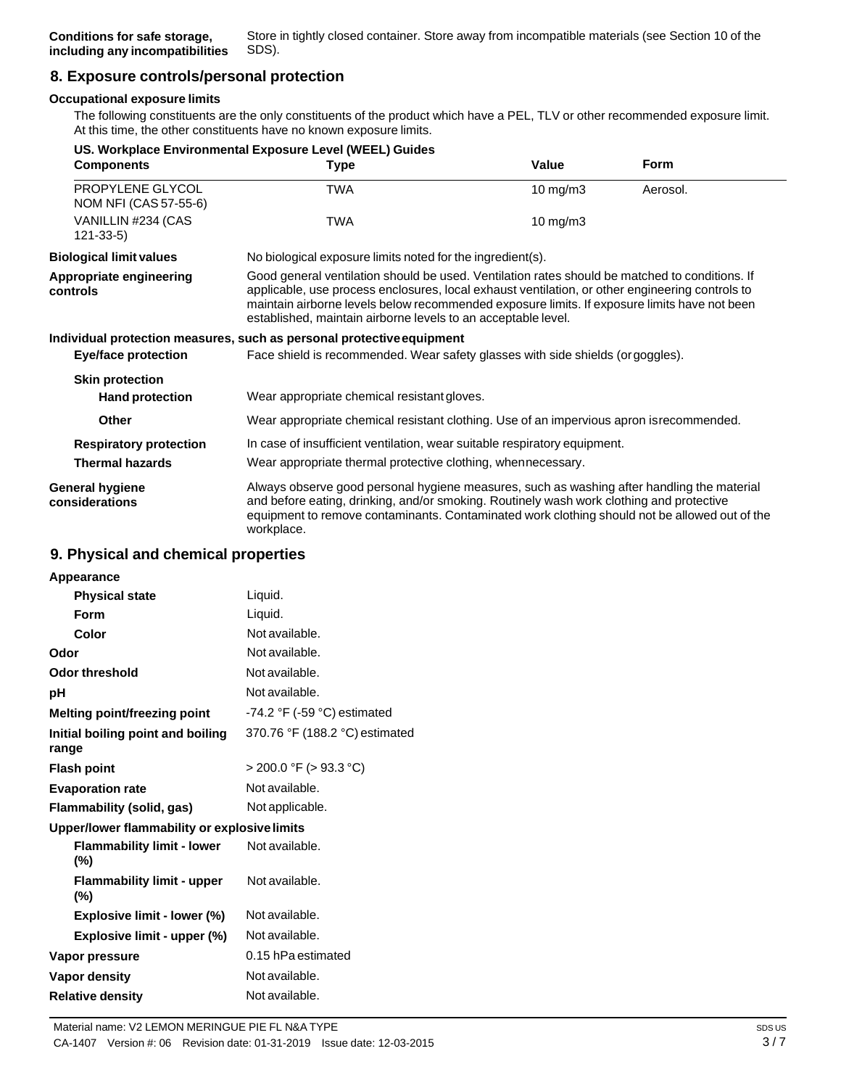# **8. Exposure controls/personal protection**

### **Occupational exposure limits**

The following constituents are the only constituents of the product which have a PEL, TLV or other recommended exposure limit. At this time, the other constituents have no known exposure limits.

|                                           | US. Workplace Environmental Exposure Level (WEEL) Guides                                                                                                                                                                                                                                                                                                           |                     |             |
|-------------------------------------------|--------------------------------------------------------------------------------------------------------------------------------------------------------------------------------------------------------------------------------------------------------------------------------------------------------------------------------------------------------------------|---------------------|-------------|
| <b>Components</b>                         | <b>Type</b>                                                                                                                                                                                                                                                                                                                                                        | Value               | <b>Form</b> |
| PROPYLENE GLYCOL<br>NOM NFI (CAS 57-55-6) | <b>TWA</b>                                                                                                                                                                                                                                                                                                                                                         | $10 \text{ mg/m}$ 3 | Aerosol.    |
| VANILLIN #234 (CAS<br>$121 - 33 - 5$      | <b>TWA</b>                                                                                                                                                                                                                                                                                                                                                         | $10 \text{ mg/m}$ 3 |             |
| <b>Biological limit values</b>            | No biological exposure limits noted for the ingredient(s).                                                                                                                                                                                                                                                                                                         |                     |             |
| Appropriate engineering<br>controls       | Good general ventilation should be used. Ventilation rates should be matched to conditions. If<br>applicable, use process enclosures, local exhaust ventilation, or other engineering controls to<br>maintain airborne levels below recommended exposure limits. If exposure limits have not been<br>established, maintain airborne levels to an acceptable level. |                     |             |
|                                           | Individual protection measures, such as personal protective equipment                                                                                                                                                                                                                                                                                              |                     |             |
| <b>Eye/face protection</b>                | Face shield is recommended. Wear safety glasses with side shields (or goggles).                                                                                                                                                                                                                                                                                    |                     |             |
| <b>Skin protection</b>                    |                                                                                                                                                                                                                                                                                                                                                                    |                     |             |
| <b>Hand protection</b>                    | Wear appropriate chemical resistant gloves.                                                                                                                                                                                                                                                                                                                        |                     |             |
| <b>Other</b>                              | Wear appropriate chemical resistant clothing. Use of an impervious apron isrecommended.                                                                                                                                                                                                                                                                            |                     |             |
| <b>Respiratory protection</b>             | In case of insufficient ventilation, wear suitable respiratory equipment.                                                                                                                                                                                                                                                                                          |                     |             |
| <b>Thermal hazards</b>                    | Wear appropriate thermal protective clothing, whennecessary.                                                                                                                                                                                                                                                                                                       |                     |             |
| General hygiene<br>considerations         | Always observe good personal hygiene measures, such as washing after handling the material<br>and before eating, drinking, and/or smoking. Routinely wash work clothing and protective<br>equipment to remove contaminants. Contaminated work clothing should not be allowed out of the<br>workplace.                                                              |                     |             |

## **9. Physical and chemical properties**

| Appearance                                   |                                               |
|----------------------------------------------|-----------------------------------------------|
| <b>Physical state</b>                        | Liquid.                                       |
| Form                                         | Liquid.                                       |
| Color                                        | Not available.                                |
| Odor                                         | Not available.                                |
| Odor threshold                               | Not available.                                |
| рH                                           | Not available.                                |
| Melting point/freezing point                 | -74.2 $\degree$ F (-59 $\degree$ C) estimated |
| Initial boiling point and boiling<br>range   | 370.76 °F (188.2 °C) estimated                |
| <b>Flash point</b>                           | > 200.0 °F (> 93.3 °C)                        |
| <b>Evaporation rate</b>                      | Not available.                                |
| Flammability (solid, gas)                    | Not applicable.                               |
| Upper/lower flammability or explosive limits |                                               |
| <b>Flammability limit - lower</b><br>$(\% )$ | Not available.                                |
| <b>Flammability limit - upper</b><br>$(\%)$  | Not available.                                |
| <b>Explosive limit - lower (%)</b>           | Not available.                                |
| Explosive limit - upper (%)                  | Not available.                                |
| Vapor pressure                               | 0.15 hPa estimated                            |
| Vapor density                                | Not available.                                |
| <b>Relative density</b>                      | Not available.                                |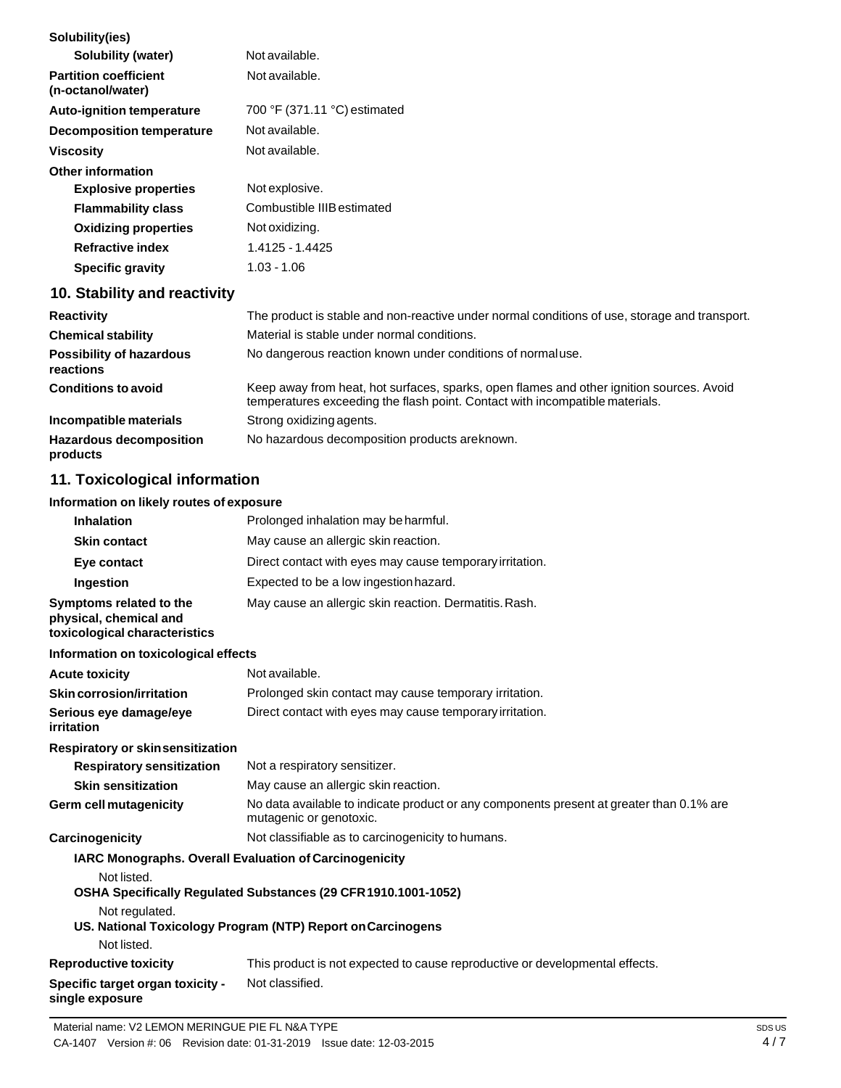| Solubility(ies)                                   |                                                                                                                                                                          |
|---------------------------------------------------|--------------------------------------------------------------------------------------------------------------------------------------------------------------------------|
| <b>Solubility (water)</b>                         | Not available.                                                                                                                                                           |
| <b>Partition coefficient</b><br>(n-octanol/water) | Not available.                                                                                                                                                           |
| <b>Auto-ignition temperature</b>                  | 700 °F (371.11 °C) estimated                                                                                                                                             |
| <b>Decomposition temperature</b>                  | Not available.                                                                                                                                                           |
| <b>Viscosity</b>                                  | Not available.                                                                                                                                                           |
| <b>Other information</b>                          |                                                                                                                                                                          |
| <b>Explosive properties</b>                       | Not explosive.                                                                                                                                                           |
| <b>Flammability class</b>                         | Combustible IIIB estimated                                                                                                                                               |
| <b>Oxidizing properties</b>                       | Not oxidizing.                                                                                                                                                           |
| <b>Refractive index</b>                           | 1.4125 - 1.4425                                                                                                                                                          |
| <b>Specific gravity</b>                           | $1.03 - 1.06$                                                                                                                                                            |
| 10. Stability and reactivity                      |                                                                                                                                                                          |
| <b>Reactivity</b>                                 | The product is stable and non-reactive under normal conditions of use, storage and transport.                                                                            |
| <b>Chemical stability</b>                         | Material is stable under normal conditions.                                                                                                                              |
| <b>Possibility of hazardous</b><br>reactions      | No dangerous reaction known under conditions of normaluse.                                                                                                               |
| <b>Conditions to avoid</b>                        | Keep away from heat, hot surfaces, sparks, open flames and other ignition sources. Avoid<br>temperatures exceeding the flash point. Contact with incompatible materials. |
| Incompatible materials                            | Strong oxidizing agents.                                                                                                                                                 |
| <b>Hazardous decomposition</b><br>products        | No hazardous decomposition products areknown.                                                                                                                            |
| 11. Toxicological information                     |                                                                                                                                                                          |

## **Information on likely routes of exposure**

| <b>Inhalation</b>                                                                  | Prolonged inhalation may be harmful.                                                                                |
|------------------------------------------------------------------------------------|---------------------------------------------------------------------------------------------------------------------|
| <b>Skin contact</b>                                                                | May cause an allergic skin reaction.                                                                                |
| Eye contact                                                                        | Direct contact with eyes may cause temporary irritation.                                                            |
| Ingestion                                                                          | Expected to be a low ingestion hazard.                                                                              |
| Symptoms related to the<br>physical, chemical and<br>toxicological characteristics | May cause an allergic skin reaction. Dermatitis. Rash.                                                              |
| Information on toxicological effects                                               |                                                                                                                     |
| <b>Acute toxicity</b>                                                              | Not available.                                                                                                      |
| Skin corrosion/irritation                                                          | Prolonged skin contact may cause temporary irritation.                                                              |
| Serious eye damage/eye<br>irritation                                               | Direct contact with eyes may cause temporary irritation.                                                            |
| Respiratory or skinsensitization                                                   |                                                                                                                     |
| <b>Respiratory sensitization</b>                                                   | Not a respiratory sensitizer.                                                                                       |
| <b>Skin sensitization</b>                                                          | May cause an allergic skin reaction.                                                                                |
| <b>Germ cell mutagenicity</b>                                                      | No data available to indicate product or any components present at greater than 0.1% are<br>mutagenic or genotoxic. |
| Carcinogenicity                                                                    | Not classifiable as to carcinogenicity to humans.                                                                   |
| IARC Monographs. Overall Evaluation of Carcinogenicity                             |                                                                                                                     |
| Not listed.                                                                        |                                                                                                                     |
|                                                                                    | OSHA Specifically Regulated Substances (29 CFR 1910.1001-1052)                                                      |
| Not regulated.                                                                     | US. National Toxicology Program (NTP) Report on Carcinogens                                                         |
| Not listed.                                                                        |                                                                                                                     |
| <b>Reproductive toxicity</b>                                                       | This product is not expected to cause reproductive or developmental effects.                                        |
| Specific target organ toxicity -<br>single exposure                                | Not classified.                                                                                                     |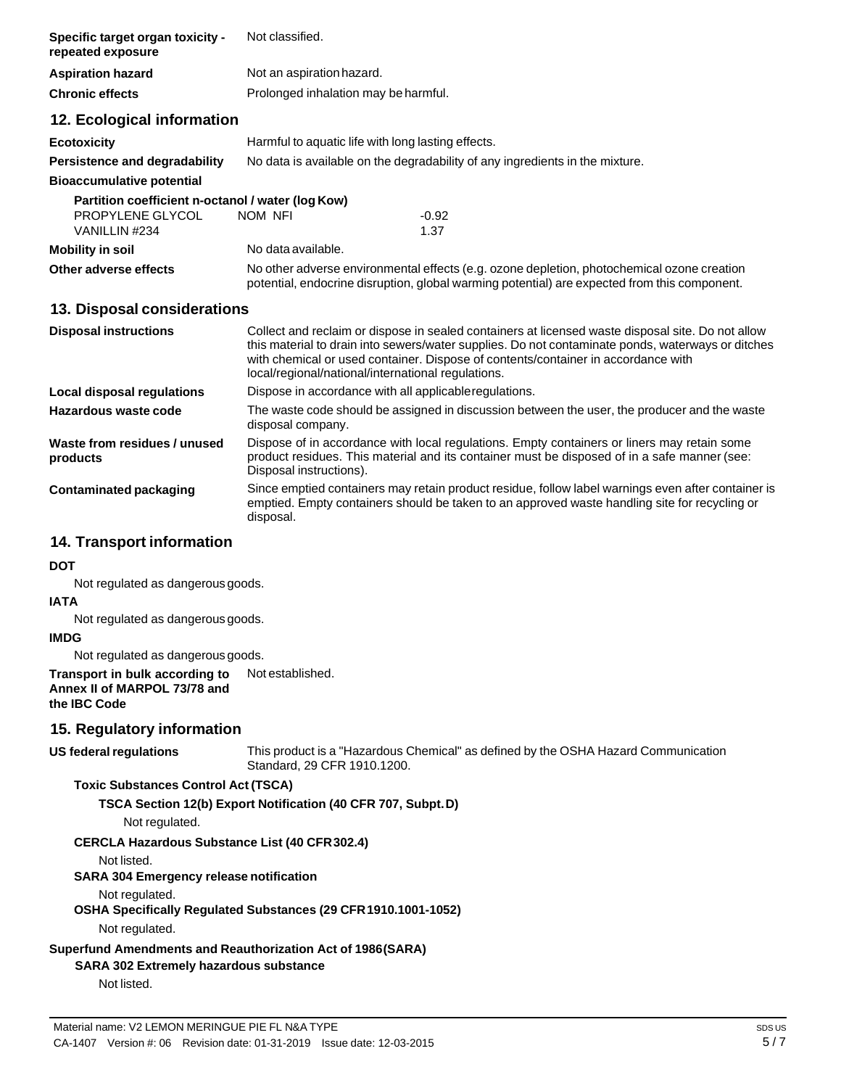| Specific target organ toxicity -<br>repeated exposure                                                       | Not classified.                                                                                                                                                                                                                                                                                                                                   |                  |
|-------------------------------------------------------------------------------------------------------------|---------------------------------------------------------------------------------------------------------------------------------------------------------------------------------------------------------------------------------------------------------------------------------------------------------------------------------------------------|------------------|
| <b>Aspiration hazard</b>                                                                                    | Not an aspiration hazard.                                                                                                                                                                                                                                                                                                                         |                  |
| <b>Chronic effects</b>                                                                                      | Prolonged inhalation may be harmful.                                                                                                                                                                                                                                                                                                              |                  |
| 12. Ecological information                                                                                  |                                                                                                                                                                                                                                                                                                                                                   |                  |
| <b>Ecotoxicity</b>                                                                                          | Harmful to aquatic life with long lasting effects.                                                                                                                                                                                                                                                                                                |                  |
| Persistence and degradability                                                                               | No data is available on the degradability of any ingredients in the mixture.                                                                                                                                                                                                                                                                      |                  |
| <b>Bioaccumulative potential</b>                                                                            |                                                                                                                                                                                                                                                                                                                                                   |                  |
| Partition coefficient n-octanol / water (log Kow)<br>PROPYLENE GLYCOL<br>VANILLIN #234                      | NOM NFI<br>$-0.92$<br>1.37                                                                                                                                                                                                                                                                                                                        |                  |
| <b>Mobility in soil</b>                                                                                     | No data available.                                                                                                                                                                                                                                                                                                                                |                  |
| Other adverse effects                                                                                       | No other adverse environmental effects (e.g. ozone depletion, photochemical ozone creation<br>potential, endocrine disruption, global warming potential) are expected from this component.                                                                                                                                                        |                  |
| 13. Disposal considerations                                                                                 |                                                                                                                                                                                                                                                                                                                                                   |                  |
| <b>Disposal instructions</b>                                                                                | Collect and reclaim or dispose in sealed containers at licensed waste disposal site. Do not allow<br>this material to drain into sewers/water supplies. Do not contaminate ponds, waterways or ditches<br>with chemical or used container. Dispose of contents/container in accordance with<br>local/regional/national/international regulations. |                  |
| <b>Local disposal regulations</b>                                                                           | Dispose in accordance with all applicableregulations.                                                                                                                                                                                                                                                                                             |                  |
| Hazardous waste code                                                                                        | The waste code should be assigned in discussion between the user, the producer and the waste<br>disposal company.                                                                                                                                                                                                                                 |                  |
| Waste from residues / unused<br>products                                                                    | Dispose of in accordance with local regulations. Empty containers or liners may retain some<br>product residues. This material and its container must be disposed of in a safe manner (see:<br>Disposal instructions).                                                                                                                            |                  |
| <b>Contaminated packaging</b>                                                                               | Since emptied containers may retain product residue, follow label warnings even after container is<br>emptied. Empty containers should be taken to an approved waste handling site for recycling or<br>disposal.                                                                                                                                  |                  |
| 14. Transport information                                                                                   |                                                                                                                                                                                                                                                                                                                                                   |                  |
| <b>DOT</b>                                                                                                  |                                                                                                                                                                                                                                                                                                                                                   |                  |
| Not regulated as dangerous goods.                                                                           |                                                                                                                                                                                                                                                                                                                                                   |                  |
| <b>IATA</b><br>Not regulated as dangerous goods.                                                            |                                                                                                                                                                                                                                                                                                                                                   |                  |
| <b>IMDG</b>                                                                                                 |                                                                                                                                                                                                                                                                                                                                                   |                  |
| Not regulated as dangerous goods.                                                                           |                                                                                                                                                                                                                                                                                                                                                   |                  |
| Transport in bulk according to<br>Annex II of MARPOL 73/78 and<br>the IBC Code                              | Not established.                                                                                                                                                                                                                                                                                                                                  |                  |
| 15. Regulatory information                                                                                  |                                                                                                                                                                                                                                                                                                                                                   |                  |
| US federal regulations                                                                                      | This product is a "Hazardous Chemical" as defined by the OSHA Hazard Communication<br>Standard, 29 CFR 1910.1200.                                                                                                                                                                                                                                 |                  |
| <b>Toxic Substances Control Act (TSCA)</b>                                                                  |                                                                                                                                                                                                                                                                                                                                                   |                  |
| Not regulated.                                                                                              | TSCA Section 12(b) Export Notification (40 CFR 707, Subpt. D)                                                                                                                                                                                                                                                                                     |                  |
| <b>CERCLA Hazardous Substance List (40 CFR 302.4)</b>                                                       |                                                                                                                                                                                                                                                                                                                                                   |                  |
| Not listed.<br><b>SARA 304 Emergency release notification</b>                                               |                                                                                                                                                                                                                                                                                                                                                   |                  |
| Not regulated.                                                                                              |                                                                                                                                                                                                                                                                                                                                                   |                  |
|                                                                                                             | OSHA Specifically Regulated Substances (29 CFR 1910.1001-1052)                                                                                                                                                                                                                                                                                    |                  |
| Not regulated.                                                                                              |                                                                                                                                                                                                                                                                                                                                                   |                  |
| Superfund Amendments and Reauthorization Act of 1986(SARA)<br><b>SARA 302 Extremely hazardous substance</b> |                                                                                                                                                                                                                                                                                                                                                   |                  |
| Not listed.                                                                                                 |                                                                                                                                                                                                                                                                                                                                                   |                  |
|                                                                                                             |                                                                                                                                                                                                                                                                                                                                                   |                  |
| Material name: V2 LEMON MERINGUE PIE FL N&A TYPE                                                            |                                                                                                                                                                                                                                                                                                                                                   | SDS <sub>U</sub> |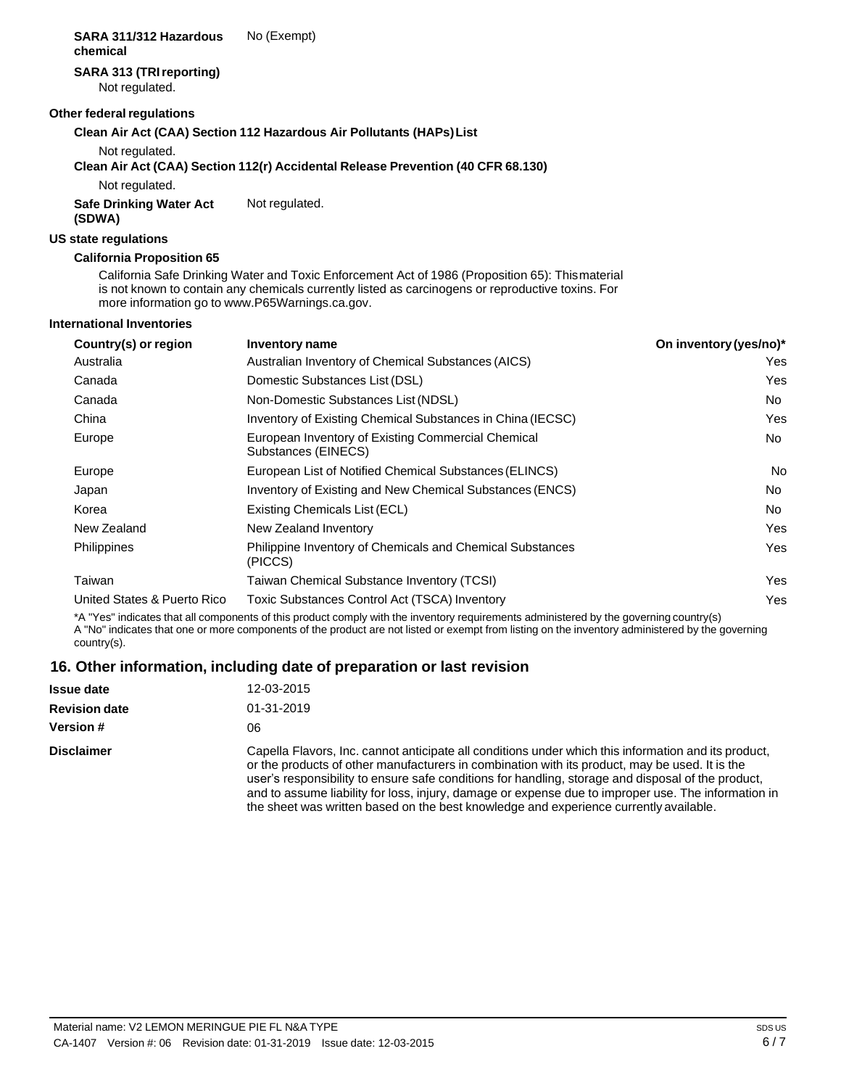#### **SARA 311/312 Hazardous chemical** No (Exempt)

## **SARA 313 (TRIreporting)**

Not regulated.

## **Other federal regulations**

## **Clean Air Act (CAA) Section 112 Hazardous Air Pollutants (HAPs)List**

Not regulated.

## **Clean Air Act (CAA) Section 112(r) Accidental Release Prevention (40 CFR 68.130)**

Not regulated.

**Safe Drinking Water Act (SDWA)** Not regulated.

## **US state regulations**

## **California Proposition 65**

California Safe Drinking Water and Toxic Enforcement Act of 1986 (Proposition 65): Thismaterial is not known to contain any chemicals currently listed as carcinogens or reproductive toxins. For more information go to [www.P65Warnings.ca.gov.](http://www.p65warnings.ca.gov/)

## **International Inventories**

| Country(s) or region        | Inventory name                                                              | On inventory (yes/no)* |
|-----------------------------|-----------------------------------------------------------------------------|------------------------|
| Australia                   | Australian Inventory of Chemical Substances (AICS)                          | Yes                    |
| Canada                      | Domestic Substances List (DSL)                                              | Yes                    |
| Canada                      | Non-Domestic Substances List (NDSL)                                         | No.                    |
| China                       | Inventory of Existing Chemical Substances in China (IECSC)                  | Yes                    |
| Europe                      | European Inventory of Existing Commercial Chemical<br>Substances (EINECS)   | No.                    |
| Europe                      | European List of Notified Chemical Substances (ELINCS)                      | No                     |
| Japan                       | Inventory of Existing and New Chemical Substances (ENCS)                    | No.                    |
| Korea                       | Existing Chemicals List (ECL)                                               | No.                    |
| New Zealand                 | New Zealand Inventory                                                       | Yes                    |
| <b>Philippines</b>          | <b>Philippine Inventory of Chemicals and Chemical Substances</b><br>(PICCS) | Yes                    |
| Taiwan                      | Taiwan Chemical Substance Inventory (TCSI)                                  | Yes                    |
| United States & Puerto Rico | Toxic Substances Control Act (TSCA) Inventory                               | Yes                    |

\*A "Yes" indicates that all components of this product comply with the inventory requirements administered by the governing country(s) A "No" indicates that one or more components of the product are not listed or exempt from listing on the inventory administered by the governing country(s).

## **16. Other information, including date of preparation or last revision**

| <b>Issue date</b>    | 12-03-2015                                                                                                                                                                                                                                                                                                                                                                                                                                                                                                   |
|----------------------|--------------------------------------------------------------------------------------------------------------------------------------------------------------------------------------------------------------------------------------------------------------------------------------------------------------------------------------------------------------------------------------------------------------------------------------------------------------------------------------------------------------|
| <b>Revision date</b> | 01-31-2019                                                                                                                                                                                                                                                                                                                                                                                                                                                                                                   |
| <b>Version #</b>     | 06                                                                                                                                                                                                                                                                                                                                                                                                                                                                                                           |
| <b>Disclaimer</b>    | Capella Flavors, Inc. cannot anticipate all conditions under which this information and its product,<br>or the products of other manufacturers in combination with its product, may be used. It is the<br>user's responsibility to ensure safe conditions for handling, storage and disposal of the product,<br>and to assume liability for loss, injury, damage or expense due to improper use. The information in<br>the sheet was written based on the best knowledge and experience currently available. |